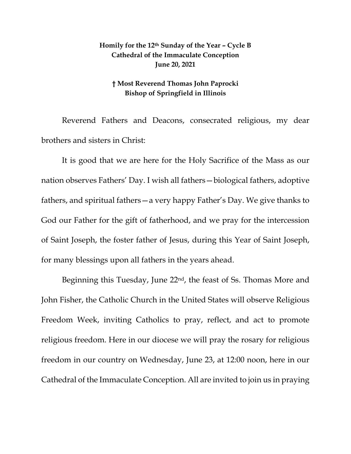## **Homily for the 12th Sunday of the Year – Cycle B Cathedral of the Immaculate Conception June 20, 2021**

## **† Most Reverend Thomas John Paprocki Bishop of Springfield in Illinois**

Reverend Fathers and Deacons, consecrated religious, my dear brothers and sisters in Christ:

It is good that we are here for the Holy Sacrifice of the Mass as our nation observes Fathers' Day. I wish all fathers—biological fathers, adoptive fathers, and spiritual fathers—a very happy Father's Day. We give thanks to God our Father for the gift of fatherhood, and we pray for the intercession of Saint Joseph, the foster father of Jesus, during this Year of Saint Joseph, for many blessings upon all fathers in the years ahead.

Beginning this Tuesday, June  $22<sup>nd</sup>$ , the feast of Ss. Thomas More and John Fisher, the Catholic Church in the United States will observe Religious Freedom Week, inviting Catholics to pray, reflect, and act to promote religious freedom. Here in our diocese we will pray the rosary for religious freedom in our country on Wednesday, June 23, at 12:00 noon, here in our Cathedral of the Immaculate Conception. All are invited to join us in praying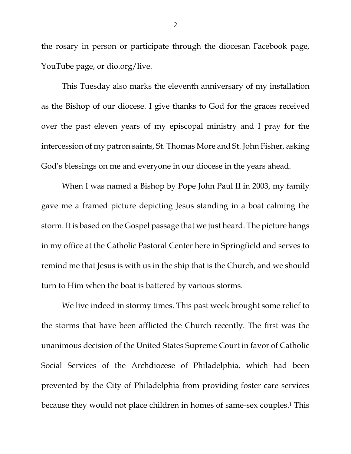the rosary in person or participate through the diocesan Facebook page, YouTube page, or dio.org/live.

This Tuesday also marks the eleventh anniversary of my installation as the Bishop of our diocese. I give thanks to God for the graces received over the past eleven years of my episcopal ministry and I pray for the intercession of my patron saints, St. Thomas More and St. John Fisher, asking God's blessings on me and everyone in our diocese in the years ahead.

When I was named a Bishop by Pope John Paul II in 2003, my family gave me a framed picture depicting Jesus standing in a boat calming the storm. It is based on the Gospel passage that we just heard. The picture hangs in my office at the Catholic Pastoral Center here in Springfield and serves to remind me that Jesus is with us in the ship that is the Church, and we should turn to Him when the boat is battered by various storms.

We live indeed in stormy times. This past week brought some relief to the storms that have been afflicted the Church recently. The first was the unanimous decision of the United States Supreme Court in favor of Catholic Social Services of the Archdiocese of Philadelphia, which had been prevented by the City of Philadelphia from providing foster care services because they would not place children in homes of same-sex couples.1 This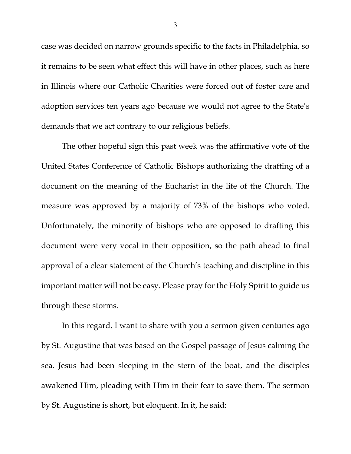case was decided on narrow grounds specific to the facts in Philadelphia, so it remains to be seen what effect this will have in other places, such as here in Illinois where our Catholic Charities were forced out of foster care and adoption services ten years ago because we would not agree to the State's demands that we act contrary to our religious beliefs.

The other hopeful sign this past week was the affirmative vote of the United States Conference of Catholic Bishops authorizing the drafting of a document on the meaning of the Eucharist in the life of the Church. The measure was approved by a majority of 73% of the bishops who voted. Unfortunately, the minority of bishops who are opposed to drafting this document were very vocal in their opposition, so the path ahead to final approval of a clear statement of the Church's teaching and discipline in this important matter will not be easy. Please pray for the Holy Spirit to guide us through these storms.

In this regard, I want to share with you a sermon given centuries ago by St. Augustine that was based on the Gospel passage of Jesus calming the sea. Jesus had been sleeping in the stern of the boat, and the disciples awakened Him, pleading with Him in their fear to save them. The sermon by St. Augustine is short, but eloquent. In it, he said:

3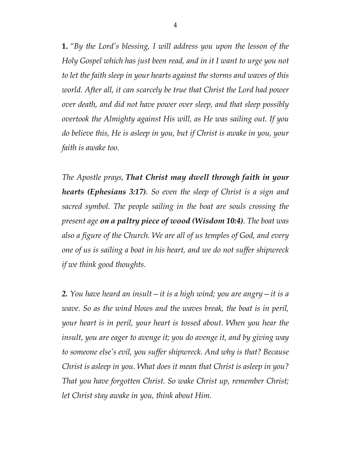**1.** *"By the Lord's blessing, I will address you upon the lesson of the Holy Gospel which has just been read, and in it I want to urge you not to let the faith sleep in your hearts against the storms and waves of this world. After all, it can scarcely be true that Christ the Lord had power over death, and did not have power over sleep, and that sleep possibly overtook the Almighty against His will, as He was sailing out. If you do believe this, He is asleep in you, but if Christ is awake in you, your faith is awake too.*

*The Apostle prays, That Christ may dwell through faith in your hearts (Ephesians 3:17). So even the sleep of Christ is a sign and sacred symbol. The people sailing in the boat are souls crossing the present age on a paltry piece of wood (Wisdom 10:4). The boat was also a figure of the Church. We are all of us temples of God, and every one of us is sailing a boat in his heart, and we do not suffer shipwreck if we think good thoughts.*

*2. You have heard an insult—it is a high wind; you are angry—it is a wave. So as the wind blows and the waves break, the boat is in peril, your heart is in peril, your heart is tossed about. When you hear the insult, you are eager to avenge it; you do avenge it, and by giving way to someone else's evil, you suffer shipwreck. And why is that? Because Christ is asleep in you. What does it mean that Christ is asleep in you? That you have forgotten Christ. So wake Christ up, remember Christ; let Christ stay awake in you, think about Him.*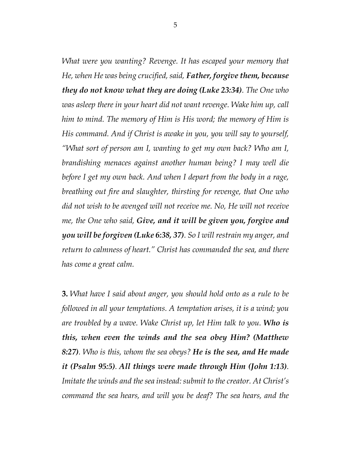*What were you wanting? Revenge. It has escaped your memory that He, when He was being crucified, said, Father, forgive them, because they do not know what they are doing (Luke 23:34). The One who was asleep there in your heart did not want revenge. Wake him up, call him to mind. The memory of Him is His word; the memory of Him is His command. And if Christ is awake in you, you will say to yourself, "What sort of person am I, wanting to get my own back? Who am I, brandishing menaces against another human being? I may well die before I get my own back. And when I depart from the body in a rage, breathing out fire and slaughter, thirsting for revenge, that One who did not wish to be avenged will not receive me. No, He will not receive me, the One who said, Give, and it will be given you, forgive and you will be forgiven (Luke 6:38, 37). So I will restrain my anger, and return to calmness of heart." Christ has commanded the sea, and there has come a great calm.*

**3.** *What have I said about anger, you should hold onto as a rule to be followed in all your temptations. A temptation arises, it is a wind; you are troubled by a wave. Wake Christ up, let Him talk to you. Who is this, when even the winds and the sea obey Him? (Matthew 8:27). Who is this, whom the sea obeys? He is the sea, and He made it (Psalm 95:5). All things were made through Him (John 1:13). Imitate the winds and the sea instead: submit to the creator. At Christ's command the sea hears, and will you be deaf? The sea hears, and the*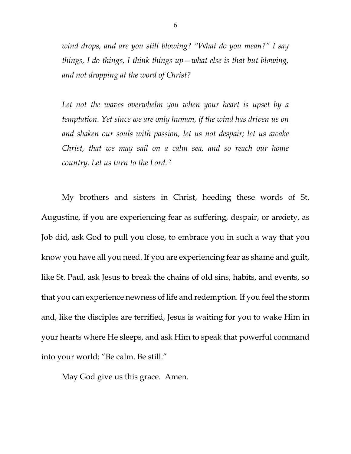*wind drops, and are you still blowing? "What do you mean?" I say things, I do things, I think things up—what else is that but blowing, and not dropping at the word of Christ?*

*Let not the waves overwhelm you when your heart is upset by a temptation. Yet since we are only human, if the wind has driven us on and shaken our souls with passion, let us not despair; let us awake Christ, that we may sail on a calm sea, and so reach our home country. Let us turn to the Lord. 2*

My brothers and sisters in Christ, heeding these words of St. Augustine, if you are experiencing fear as suffering, despair, or anxiety, as Job did, ask God to pull you close, to embrace you in such a way that you know you have all you need. If you are experiencing fear as shame and guilt, like St. Paul, ask Jesus to break the chains of old sins, habits, and events, so that you can experience newness of life and redemption. If you feel the storm and, like the disciples are terrified, Jesus is waiting for you to wake Him in your hearts where He sleeps, and ask Him to speak that powerful command into your world: "Be calm. Be still."

May God give us this grace. Amen.